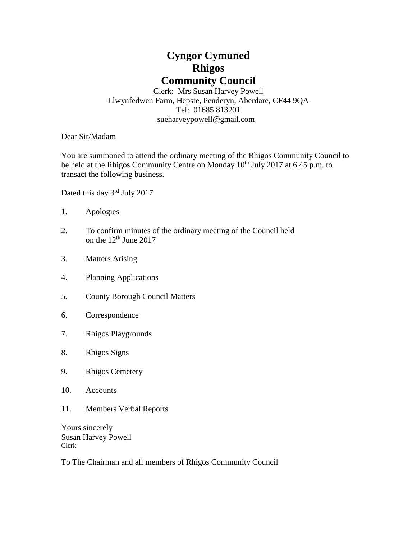# **Cyngor Cymuned Rhigos Community Council**

Clerk: Mrs Susan Harvey Powell Llwynfedwen Farm, Hepste, Penderyn, Aberdare, CF44 9QA Tel: 01685 813201 [sueharveypowell@g](mailto:sharveypowell@comin-infants.co.uk)mail.com

Dear Sir/Madam

You are summoned to attend the ordinary meeting of the Rhigos Community Council to be held at the Rhigos Community Centre on Monday  $10<sup>th</sup>$  July 2017 at 6.45 p.m. to transact the following business.

Dated this day 3<sup>rd</sup> July 2017

- 1. Apologies
- 2. To confirm minutes of the ordinary meeting of the Council held on the 12<sup>th</sup> June 2017
- 3. Matters Arising
- 4. Planning Applications
- 5. County Borough Council Matters
- 6. Correspondence
- 7. Rhigos Playgrounds
- 8. Rhigos Signs
- 9. Rhigos Cemetery
- 10. Accounts
- 11. Members Verbal Reports

Yours sincerely Susan Harvey Powell Clerk

To The Chairman and all members of Rhigos Community Council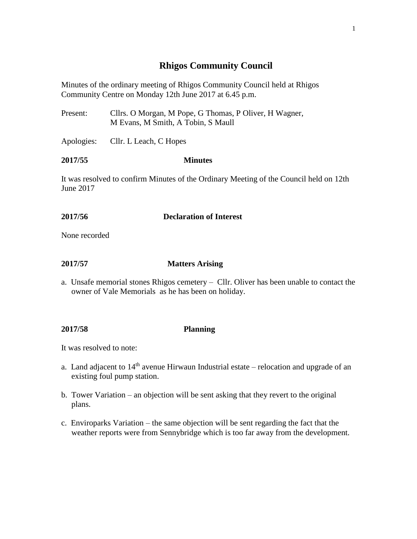# **Rhigos Community Council**

Minutes of the ordinary meeting of Rhigos Community Council held at Rhigos Community Centre on Monday 12th June 2017 at 6.45 p.m.

- Present: Cllrs. O Morgan, M Pope, G Thomas, P Oliver, H Wagner, M Evans, M Smith, A Tobin, S Maull
- Apologies: Cllr. L Leach, C Hopes

#### **2017/55 Minutes**

It was resolved to confirm Minutes of the Ordinary Meeting of the Council held on 12th June 2017

### **2017/56 Declaration of Interest**

None recorded

### **2017/57 Matters Arising**

a. Unsafe memorial stones Rhigos cemetery – Cllr. Oliver has been unable to contact the owner of Vale Memorials as he has been on holiday.

#### **2017/58 Planning**

It was resolved to note:

- a. Land adjacent to  $14<sup>th</sup>$  avenue Hirwaun Industrial estate relocation and upgrade of an existing foul pump station.
- b. Tower Variation an objection will be sent asking that they revert to the original plans.
- c. Enviroparks Variation the same objection will be sent regarding the fact that the weather reports were from Sennybridge which is too far away from the development.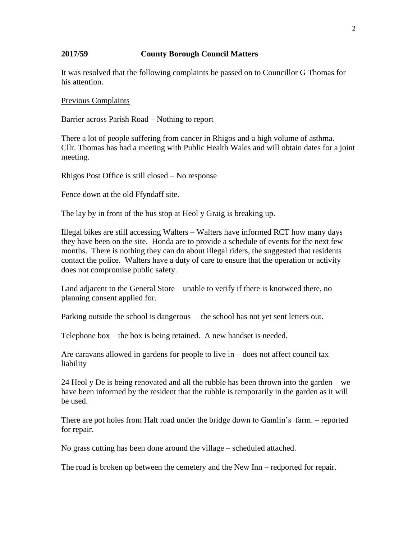#### **2017/59 County Borough Council Matters**

It was resolved that the following complaints be passed on to Councillor G Thomas for his attention.

Previous Complaints

Barrier across Parish Road – Nothing to report

There a lot of people suffering from cancer in Rhigos and a high volume of asthma. – Cllr. Thomas has had a meeting with Public Health Wales and will obtain dates for a joint meeting.

Rhigos Post Office is still closed – No response

Fence down at the old Ffyndaff site.

The lay by in front of the bus stop at Heol y Graig is breaking up.

Illegal bikes are still accessing Walters – Walters have informed RCT how many days they have been on the site. Honda are to provide a schedule of events for the next few months. There is nothing they can do about illegal riders, the suggested that residents contact the police. Walters have a duty of care to ensure that the operation or activity does not compromise public safety.

Land adjacent to the General Store – unable to verify if there is knotweed there, no planning consent applied for.

Parking outside the school is dangerous – the school has not yet sent letters out.

Telephone box – the box is being retained. A new handset is needed.

Are caravans allowed in gardens for people to live in – does not affect council tax liability

24 Heol y De is being renovated and all the rubble has been thrown into the garden – we have been informed by the resident that the rubble is temporarily in the garden as it will be used.

There are pot holes from Halt road under the bridge down to Gamlin's farm. – reported for repair.

No grass cutting has been done around the village – scheduled attached.

The road is broken up between the cemetery and the New Inn – redported for repair.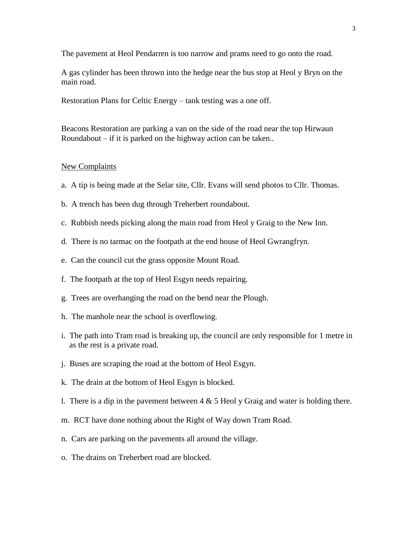The pavement at Heol Pendarren is too narrow and prams need to go onto the road.

A gas cylinder has been thrown into the hedge near the bus stop at Heol y Bryn on the main road.

Restoration Plans for Celtic Energy – tank testing was a one off.

Beacons Restoration are parking a van on the side of the road near the top Hirwaun Roundabout – if it is parked on the highway action can be taken..

#### New Complaints

- a. A tip is being made at the Selar site, Cllr. Evans will send photos to Cllr. Thomas.
- b. A trench has been dug through Treherbert roundabout.
- c. Rubbish needs picking along the main road from Heol y Graig to the New Inn.
- d. There is no tarmac on the footpath at the end house of Heol Gwrangfryn.
- e. Can the council cut the grass opposite Mount Road.
- f. The footpath at the top of Heol Esgyn needs repairing.
- g. Trees are overhanging the road on the bend near the Plough.
- h. The manhole near the school is overflowing.
- i. The path into Tram road is breaking up, the council are only responsible for 1 metre in as the rest is a private road.
- j. Buses are scraping the road at the bottom of Heol Esgyn.
- k. The drain at the bottom of Heol Esgyn is blocked.
- l. There is a dip in the pavement between  $4 \& 5$  Heol y Graig and water is holding there.
- m. RCT have done nothing about the Right of Way down Tram Road.
- n. Cars are parking on the pavements all around the village.
- o. The drains on Treherbert road are blocked.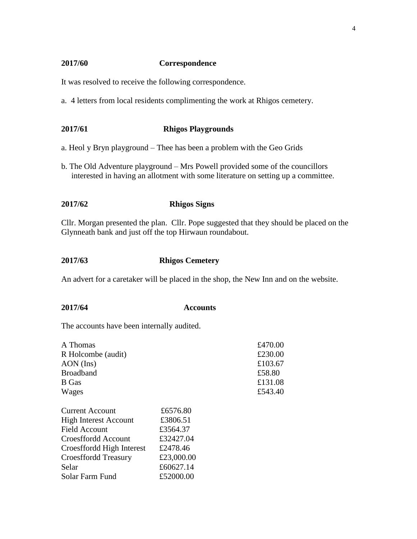#### **2017/60 Correspondence**

It was resolved to receive the following correspondence.

a. 4 letters from local residents complimenting the work at Rhigos cemetery.

## **2017/61 Rhigos Playgrounds**

a. Heol y Bryn playground – Thee has been a problem with the Geo Grids

b. The Old Adventure playground – Mrs Powell provided some of the councillors interested in having an allotment with some literature on setting up a committee.

### **2017/62 Rhigos Signs**

Cllr. Morgan presented the plan. Cllr. Pope suggested that they should be placed on the Glynneath bank and just off the top Hirwaun roundabout.

#### **2017/63 Rhigos Cemetery**

An advert for a caretaker will be placed in the shop, the New Inn and on the website.

#### **2017/64 Accounts**

The accounts have been internally audited.

| A Thomas                     |            | £470.00 |
|------------------------------|------------|---------|
| R Holcombe (audit)           |            | £230.00 |
| $AON$ (Ins)                  |            | £103.67 |
| <b>Broadband</b>             |            | £58.80  |
| B Gas                        |            | £131.08 |
| Wages                        |            | £543.40 |
| <b>Current Account</b>       | £6576.80   |         |
| <b>High Interest Account</b> | £3806.51   |         |
| Field Account                | £3564.37   |         |
| Croesffordd Account          | £32427.04  |         |
| Croesffordd High Interest    | £2478.46   |         |
| <b>Croesffordd Treasury</b>  | £23,000.00 |         |
| Selar                        | £60627.14  |         |
| Solar Farm Fund              | £52000.00  |         |
|                              |            |         |